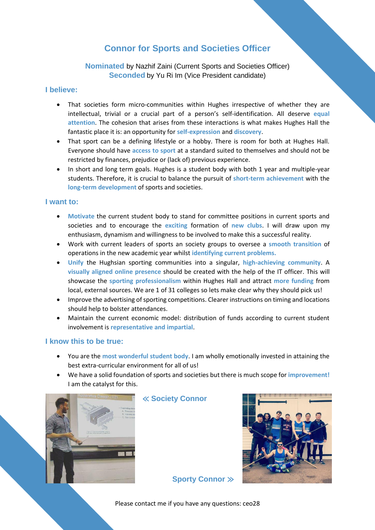# **Connor for Sports and Societies Officer**

## **Nominated** by Nazhif Zaini (Current Sports and Societies Officer) **Seconded** by Yu Ri Im (Vice President candidate)

## **I believe:**

- That societies form micro-communities within Hughes irrespective of whether they are intellectual, trivial or a crucial part of a person's self-identification. All deserve **equal attention**. The cohesion that arises from these interactions is what makes Hughes Hall the fantastic place it is: an opportunity for **self-expression** and **discovery**.
- That sport can be a defining lifestyle or a hobby. There is room for both at Hughes Hall. Everyone should have **access to sport** at a standard suited to themselves and should not be restricted by finances, prejudice or (lack of) previous experience.
- In short and long term goals. Hughes is a student body with both 1 year and multiple-year students. Therefore, it is crucial to balance the pursuit of **short-term achievement** with the **long-term development** of sports and societies.

### **I want to:**

- **Motivate** the current student body to stand for committee positions in current sports and societies and to encourage the **exciting** formation of **new clubs**. I will draw upon my enthusiasm, dynamism and willingness to be involved to make this a successful reality.
- Work with current leaders of sports an society groups to oversee a **smooth transition** of operations in the new academic year whilst **identifying current problems.**
- **Unify** the Hughsian sporting communities into a singular, **high-achieving community**. A **visually aligned online presence** should be created with the help of the IT officer. This will showcase the **sporting professionalism** within Hughes Hall and attract **more funding** from local, external sources. We are 1 of 31 colleges so lets make clear why they should pick us!
- Improve the advertising of sporting competitions. Clearer instructions on timing and locations should help to bolster attendances.
- Maintain the current economic model: distribution of funds according to current student involvement is **representative and impartial**.

### **I know this to be true:**

- You are the **most wonderful student body**. I am wholly emotionally invested in attaining the best extra-curricular environment for all of us!
- We have a solid foundation of sports and societies but there is much scope for **improvement!** I am the catalyst for this.



≪ **Society Connor**



**Sporty Connor** ≫

Please contact me if you have any questions: ceo28